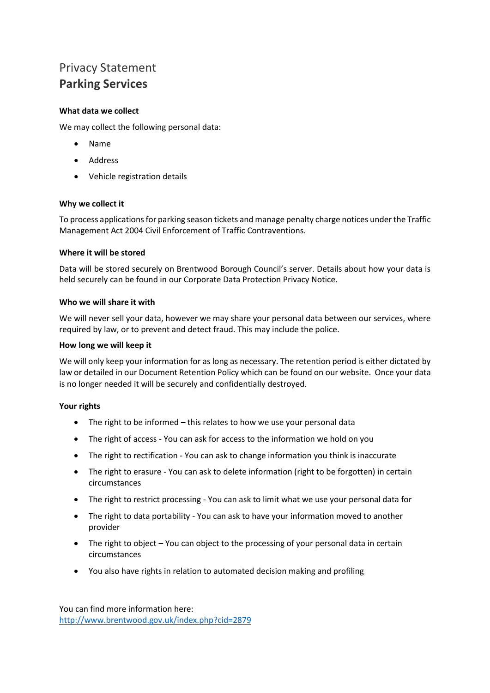# Privacy Statement **Parking Services**

## **What data we collect**

We may collect the following personal data:

- Name
- Address
- Vehicle registration details

### **Why we collect it**

To process applications for parking season tickets and manage penalty charge notices under the Traffic Management Act 2004 Civil Enforcement of Traffic Contraventions.

### **Where it will be stored**

Data will be stored securely on Brentwood Borough Council's server. Details about how your data is held securely can be found in our Corporate Data Protection Privacy Notice.

### **Who we will share it with**

We will never sell your data, however we may share your personal data between our services, where required by law, or to prevent and detect fraud. This may include the police.

### **How long we will keep it**

We will only keep your information for as long as necessary. The retention period is either dictated by law or detailed in our Document Retention Policy which can be found on our website. Once your data is no longer needed it will be securely and confidentially destroyed.

### **Your rights**

- The right to be informed this relates to how we use your personal data
- The right of access You can ask for access to the information we hold on you
- The right to rectification You can ask to change information you think is inaccurate
- The right to erasure You can ask to delete information (right to be forgotten) in certain circumstances
- The right to restrict processing You can ask to limit what we use your personal data for
- The right to data portability You can ask to have your information moved to another provider
- The right to object You can object to the processing of your personal data in certain circumstances
- You also have rights in relation to automated decision making and profiling

You can find more information here: <http://www.brentwood.gov.uk/index.php?cid=2879>